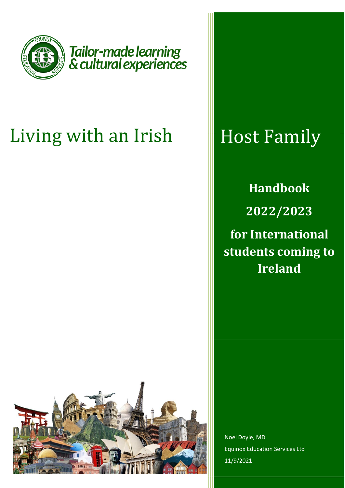

# Living with an Irish

## Host Family

**Handbook 2022/2023 for International students coming to Ireland**



Noel Doyle, MD Equinox Education Services Ltd 11/9/2021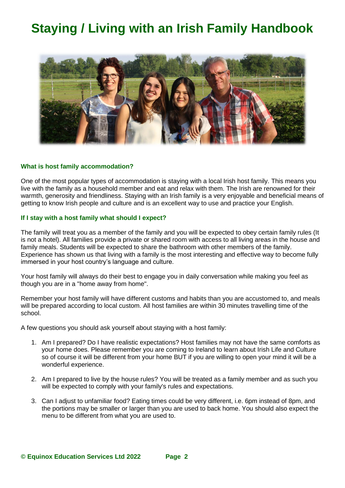### **Staying / Living with an Irish Family Handbook**



#### **What is host family accommodation?**

One of the most popular types of accommodation is staying with a local Irish host family. This means you live with the family as a household member and eat and relax with them. The Irish are renowned for their warmth, generosity and friendliness. Staying with an Irish family is a very enjoyable and beneficial means of getting to know Irish people and culture and is an excellent way to use and practice your English.

#### **If I stay with a host family what should I expect?**

The family will treat you as a member of the family and you will be expected to obey certain family rules (It is not a hotel). All families provide a private or shared room with access to all living areas in the house and family meals. Students will be expected to share the bathroom with other members of the family. Experience has shown us that living with a family is the most interesting and effective way to become fully immersed in your host country's language and culture.

Your host family will always do their best to engage you in daily conversation while making you feel as though you are in a "home away from home".

Remember your host family will have different customs and habits than you are accustomed to, and meals will be prepared according to local custom. All host families are within 30 minutes travelling time of the school.

A few questions you should ask yourself about staying with a host family:

- 1. Am I prepared? Do I have realistic expectations? Host families may not have the same comforts as your home does. Please remember you are coming to Ireland to learn about Irish Life and Culture so of course it will be different from your home BUT if you are willing to open your mind it will be a wonderful experience.
- 2. Am I prepared to live by the house rules? You will be treated as a family member and as such you will be expected to comply with your family's rules and expectations.
- 3. Can I adjust to unfamiliar food? Eating times could be very different, i.e. 6pm instead of 8pm, and the portions may be smaller or larger than you are used to back home. You should also expect the menu to be different from what you are used to.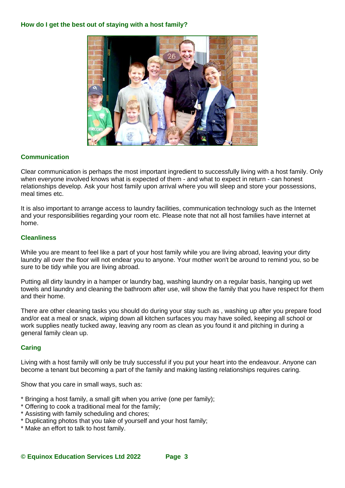

#### **Communication**

Clear communication is perhaps the most important ingredient to successfully living with a host family. Only when everyone involved knows what is expected of them - and what to expect in return - can honest relationships develop. Ask your host family upon arrival where you will sleep and store your possessions, meal times etc.

It is also important to arrange access to laundry facilities, communication technology such as the Internet and your responsibilities regarding your room etc. Please note that not all host families have internet at home.

#### **Cleanliness**

While you are meant to feel like a part of your host family while you are living abroad, leaving your dirty laundry all over the floor will not endear you to anyone. Your mother won't be around to remind you, so be sure to be tidy while you are living abroad.

Putting all dirty laundry in a hamper or laundry bag, washing laundry on a regular basis, hanging up wet towels and laundry and cleaning the bathroom after use, will show the family that you have respect for them and their home.

There are other cleaning tasks you should do during your stay such as , washing up after you prepare food and/or eat a meal or snack, wiping down all kitchen surfaces you may have soiled, keeping all school or work supplies neatly tucked away, leaving any room as clean as you found it and pitching in during a general family clean up.

#### **Caring**

Living with a host family will only be truly successful if you put your heart into the endeavour. Anyone can become a tenant but becoming a part of the family and making lasting relationships requires caring.

Show that you care in small ways, such as:

- \* Bringing a host family, a small gift when you arrive (one per family);
- \* Offering to cook a traditional meal for the family;
- \* Assisting with family scheduling and chores;
- \* Duplicating photos that you take of yourself and your host family;
- \* Make an effort to talk to host family.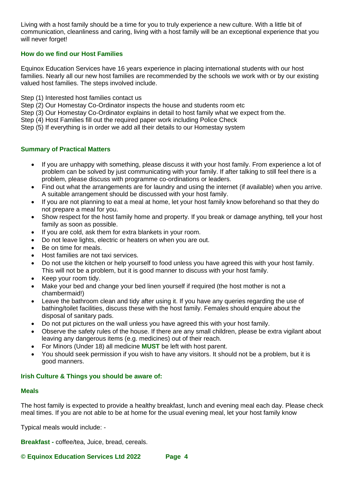Living with a host family should be a time for you to truly experience a new culture. With a little bit of communication, cleanliness and caring, living with a host family will be an exceptional experience that you will never forget!

#### **How do we find our Host Families**

Equinox Education Services have 16 years experience in placing international students with our host families. Nearly all our new host families are recommended by the schools we work with or by our existing valued host families. The steps involved include.

- Step (1) Interested host families contact us
- Step (2) Our Homestay Co-Ordinator inspects the house and students room etc
- Step (3) Our Homestay Co-Ordinator explains in detail to host family what we expect from the.
- Step (4) Host Families fill out the required paper work including Police Check
- Step (5) If everything is in order we add all their details to our Homestay system

#### **Summary of Practical Matters**

- If you are unhappy with something, please discuss it with your host family. From experience a lot of problem can be solved by just communicating with your family. If after talking to still feel there is a problem, please discuss with programme co-ordinations or leaders.
- Find out what the arrangements are for laundry and using the internet (if available) when you arrive. A suitable arrangement should be discussed with your host family.
- If you are not planning to eat a meal at home, let your host family know beforehand so that they do not prepare a meal for you.
- Show respect for the host family home and property. If you break or damage anything, tell your host family as soon as possible.
- If you are cold, ask them for extra blankets in your room.
- Do not leave lights, electric or heaters on when you are out.
- Be on time for meals.
- Host families are not taxi services.
- Do not use the kitchen or help yourself to food unless you have agreed this with your host family. This will not be a problem, but it is good manner to discuss with your host family.
- Keep your room tidy.
- Make your bed and change your bed linen yourself if required (the host mother is not a chambermaid!)
- Leave the bathroom clean and tidy after using it. If you have any queries regarding the use of bathing/toilet facilities, discuss these with the host family. Females should enquire about the disposal of sanitary pads.
- Do not put pictures on the wall unless you have agreed this with your host family.
- Observe the safety rules of the house. If there are any small children, please be extra vigilant about leaving any dangerous items (e.g. medicines) out of their reach.
- For Minors (Under 18) all medicine **MUST** be left with host parent.
- You should seek permission if you wish to have any visitors. It should not be a problem, but it is good manners.

#### **Irish Culture & Things you should be aware of:**

#### **Meals**

The host family is expected to provide a healthy breakfast, lunch and evening meal each day. Please check meal times. If you are not able to be at home for the usual evening meal, let your host family know

Typical meals would include: -

**Breakfast -** coffee/tea, Juice, bread, cereals.

**© Equinox Education Services Ltd 2022 Page 4**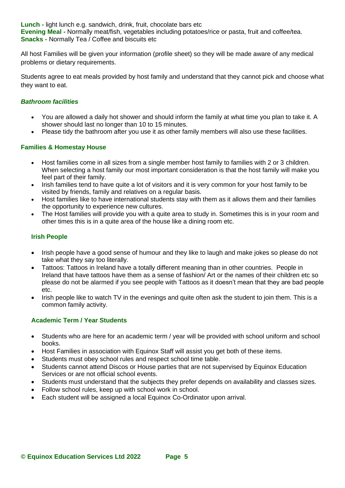**Lunch -** light lunch e.g. sandwich, drink, fruit, chocolate bars etc **Evening Meal -** Normally meat/fish, vegetables including potatoes/rice or pasta, fruit and coffee/tea. **Snacks -** Normally Tea / Coffee and biscuits etc

All host Families will be given your information (profile sheet) so they will be made aware of any medical problems or dietary requirements.

Students agree to eat meals provided by host family and understand that they cannot pick and choose what they want to eat.

#### *Bathroom facilities*

- You are allowed a daily hot shower and should inform the family at what time you plan to take it. A shower should last no longer than 10 to 15 minutes.
- Please tidy the bathroom after you use it as other family members will also use these facilities.

#### **Families & Homestay House**

- Host families come in all sizes from a single member host family to families with 2 or 3 children. When selecting a host family our most important consideration is that the host family will make you feel part of their family.
- Irish families tend to have quite a lot of visitors and it is very common for your host family to be visited by friends, family and relatives on a regular basis.
- Host families like to have international students stay with them as it allows them and their families the opportunity to experience new cultures.
- The Host families will provide you with a quite area to study in. Sometimes this is in your room and other times this is in a quite area of the house like a dining room etc.

#### **Irish People**

- Irish people have a good sense of humour and they like to laugh and make jokes so please do not take what they say too literally.
- Tattoos: Tattoos in Ireland have a totally different meaning than in other countries. People in Ireland that have tattoos have them as a sense of fashion/ Art or the names of their children etc so please do not be alarmed if you see people with Tattoos as it doesn't mean that they are bad people etc.
- Irish people like to watch TV in the evenings and quite often ask the student to join them. This is a common family activity.

#### **Academic Term / Year Students**

- Students who are here for an academic term / year will be provided with school uniform and school books.
- Host Families in association with Equinox Staff will assist you get both of these items.
- Students must obey school rules and respect school time table.
- Students cannot attend Discos or House parties that are not supervised by Equinox Education Services or are not official school events.
- Students must understand that the subjects they prefer depends on availability and classes sizes.
- Follow school rules, keep up with school work in school.
- Each student will be assigned a local Equinox Co-Ordinator upon arrival.